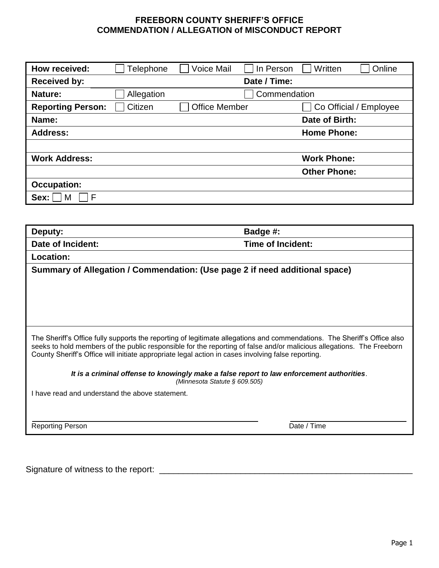## **FREEBORN COUNTY SHERIFF'S OFFICE COMMENDATION / ALLEGATION of MISCONDUCT REPORT**

| How received:            | Telephone  | <b>Voice Mail</b>    | In Person    | Written             | Online                 |
|--------------------------|------------|----------------------|--------------|---------------------|------------------------|
| <b>Received by:</b>      |            |                      | Date / Time: |                     |                        |
| <b>Nature:</b>           | Allegation |                      | Commendation |                     |                        |
| <b>Reporting Person:</b> | Citizen    | <b>Office Member</b> |              |                     | Co Official / Employee |
| Name:                    |            |                      |              | Date of Birth:      |                        |
| <b>Address:</b>          |            |                      |              | <b>Home Phone:</b>  |                        |
|                          |            |                      |              |                     |                        |
| <b>Work Address:</b>     |            |                      |              | <b>Work Phone:</b>  |                        |
|                          |            |                      |              | <b>Other Phone:</b> |                        |
| <b>Occupation:</b>       |            |                      |              |                     |                        |
| F<br>Sex:<br>M           |            |                      |              |                     |                        |

| Deputy:                                                                                                                                                                                                                                                                                                                                                 | Badge #:                 |  |  |  |
|---------------------------------------------------------------------------------------------------------------------------------------------------------------------------------------------------------------------------------------------------------------------------------------------------------------------------------------------------------|--------------------------|--|--|--|
| Date of Incident:                                                                                                                                                                                                                                                                                                                                       | <b>Time of Incident:</b> |  |  |  |
| Location:                                                                                                                                                                                                                                                                                                                                               |                          |  |  |  |
| Summary of Allegation / Commendation: (Use page 2 if need additional space)                                                                                                                                                                                                                                                                             |                          |  |  |  |
|                                                                                                                                                                                                                                                                                                                                                         |                          |  |  |  |
|                                                                                                                                                                                                                                                                                                                                                         |                          |  |  |  |
|                                                                                                                                                                                                                                                                                                                                                         |                          |  |  |  |
|                                                                                                                                                                                                                                                                                                                                                         |                          |  |  |  |
| The Sheriff's Office fully supports the reporting of legitimate allegations and commendations. The Sheriff's Office also<br>seeks to hold members of the public responsible for the reporting of false and/or malicious allegations. The Freeborn<br>County Sheriff's Office will initiate appropriate legal action in cases involving false reporting. |                          |  |  |  |
| It is a criminal offense to knowingly make a false report to law enforcement authorities.<br>(Minnesota Statute § 609.505)                                                                                                                                                                                                                              |                          |  |  |  |
| have read and understand the above statement.                                                                                                                                                                                                                                                                                                           |                          |  |  |  |
|                                                                                                                                                                                                                                                                                                                                                         |                          |  |  |  |
|                                                                                                                                                                                                                                                                                                                                                         |                          |  |  |  |
| <b>Reporting Person</b>                                                                                                                                                                                                                                                                                                                                 | Date / Time              |  |  |  |
|                                                                                                                                                                                                                                                                                                                                                         |                          |  |  |  |

Signature of witness to the report: \_\_\_\_\_\_\_\_\_\_\_\_\_\_\_\_\_\_\_\_\_\_\_\_\_\_\_\_\_\_\_\_\_\_\_\_\_\_\_\_\_\_\_\_\_\_\_\_\_\_\_\_\_